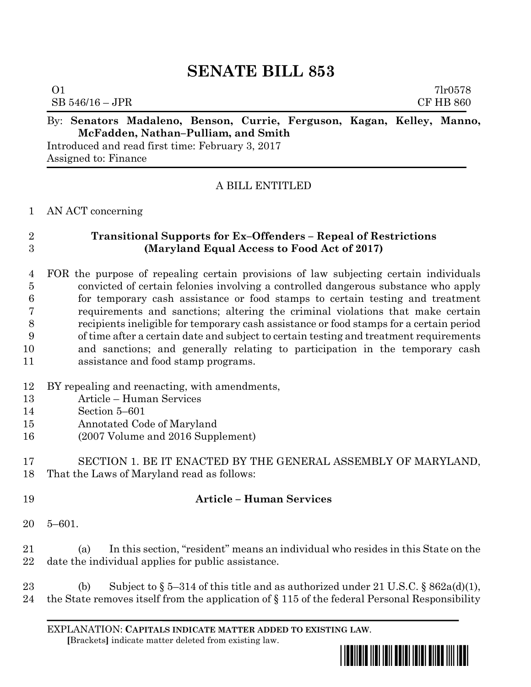# **SENATE BILL 853**

| $\Omega$ 1        |                                     |                                                                        |  |  |  |                  |  | 7 <sub>1</sub> r0578 |  |
|-------------------|-------------------------------------|------------------------------------------------------------------------|--|--|--|------------------|--|----------------------|--|
| $SB 546/16 - JPR$ |                                     |                                                                        |  |  |  | <b>CF HB 860</b> |  |                      |  |
|                   |                                     | By: Senators Madaleno, Benson, Currie, Ferguson, Kagan, Kelley, Manno, |  |  |  |                  |  |                      |  |
|                   | McFadden, Nathan-Pulliam, and Smith |                                                                        |  |  |  |                  |  |                      |  |

Introduced and read first time: February 3, 2017 Assigned to: Finance

## A BILL ENTITLED

#### AN ACT concerning

# **Transitional Supports for Ex–Offenders – Repeal of Restrictions (Maryland Equal Access to Food Act of 2017)**

#### FOR the purpose of repealing certain provisions of law subjecting certain individuals convicted of certain felonies involving a controlled dangerous substance who apply for temporary cash assistance or food stamps to certain testing and treatment requirements and sanctions; altering the criminal violations that make certain recipients ineligible for temporary cash assistance or food stamps for a certain period of time after a certain date and subject to certain testing and treatment requirements and sanctions; and generally relating to participation in the temporary cash assistance and food stamp programs.

- BY repealing and reenacting, with amendments,
- Article Human Services
- Section 5–601
- Annotated Code of Maryland
- (2007 Volume and 2016 Supplement)

 SECTION 1. BE IT ENACTED BY THE GENERAL ASSEMBLY OF MARYLAND, That the Laws of Maryland read as follows:

## **Article – Human Services**

5–601.

 (a) In this section, "resident" means an individual who resides in this State on the date the individual applies for public assistance.

23 (b) Subject to  $\S 5-314$  of this title and as authorized under 21 U.S.C.  $\S 862a(d)(1)$ , the State removes itself from the application of § 115 of the federal Personal Responsibility

EXPLANATION: **CAPITALS INDICATE MATTER ADDED TO EXISTING LAW**.  **[**Brackets**]** indicate matter deleted from existing law.